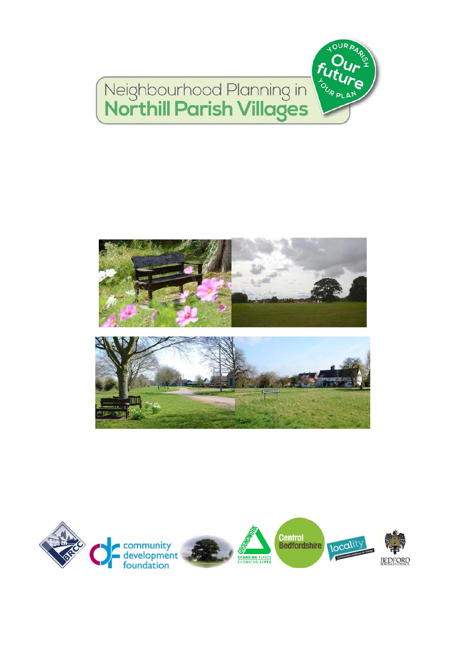



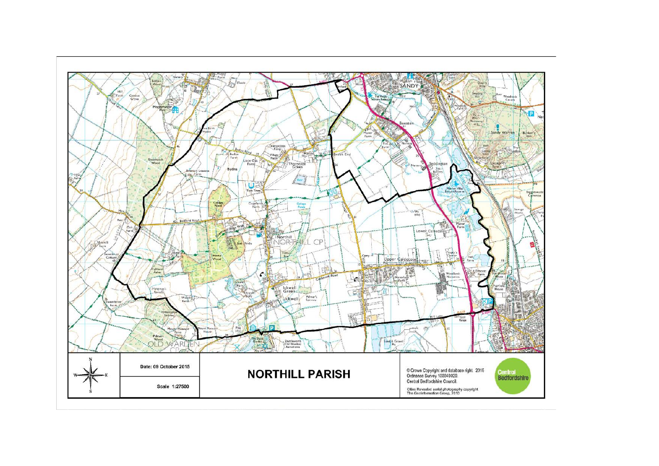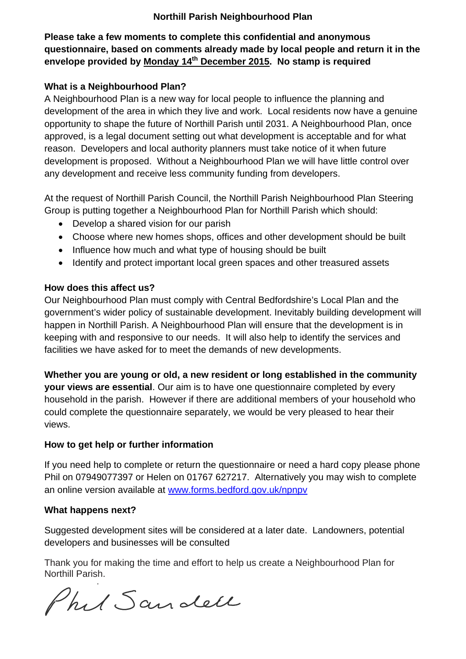#### **Northill Parish Neighbourhood Plan**

### **Please take a few moments to complete this confidential and anonymous questionnaire, based on comments already made by local people and return it in the envelope provided by Monday 14th December 2015. No stamp is required**

#### **What is a Neighbourhood Plan?**

A Neighbourhood Plan is a new way for local people to influence the planning and development of the area in which they live and work. Local residents now have a genuine opportunity to shape the future of Northill Parish until 2031. A Neighbourhood Plan, once approved, is a legal document setting out what development is acceptable and for what reason. Developers and local authority planners must take notice of it when future development is proposed. Without a Neighbourhood Plan we will have little control over any development and receive less community funding from developers.

At the request of Northill Parish Council, the Northill Parish Neighbourhood Plan Steering Group is putting together a Neighbourhood Plan for Northill Parish which should:

- Develop a shared vision for our parish
- Choose where new homes shops, offices and other development should be built
- Influence how much and what type of housing should be built
- Identify and protect important local green spaces and other treasured assets

#### **How does this affect us?**

Our Neighbourhood Plan must comply with Central Bedfordshire's Local Plan and the government's wider policy of sustainable development. Inevitably building development will happen in Northill Parish. A Neighbourhood Plan will ensure that the development is in keeping with and responsive to our needs. It will also help to identify the services and facilities we have asked for to meet the demands of new developments.

**Whether you are young or old, a new resident or long established in the community your views are essential**. Our aim is to have one questionnaire completed by every household in the parish. However if there are additional members of your household who could complete the questionnaire separately, we would be very pleased to hear their views.

#### **How to get help or further information**

If you need help to complete or return the questionnaire or need a hard copy please phone Phil on 07949077397 or Helen on 01767 627217. Alternatively you may wish to complete an online version available at www.forms.bedford.gov.uk/npnpv

#### **What happens next?**

Suggested development sites will be considered at a later date. Landowners, potential developers and businesses will be consulted

Thank you for making the time and effort to help us create a Neighbourhood Plan for Northill Parish.

Phil Sandell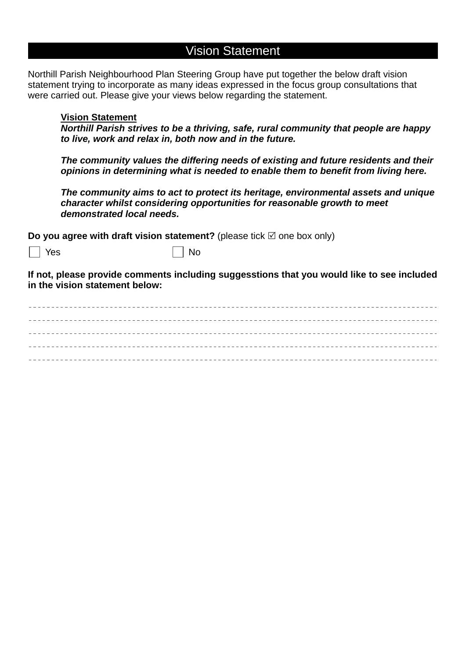## Vision Statement

Northill Parish Neighbourhood Plan Steering Group have put together the below draft vision statement trying to incorporate as many ideas expressed in the focus group consultations that were carried out. Please give your views below regarding the statement.

#### **Vision Statement**

*Northill Parish strives to be a thriving, safe, rural community that people are happy to live, work and relax in, both now and in the future.*

*The community values the differing needs of existing and future residents and their opinions in determining what is needed to enable them to benefit from living here.*

*The community aims to act to protect its heritage, environmental assets and unique character whilst considering opportunities for reasonable growth to meet demonstrated local needs.*

**Do you agree with draft vision statement?** (please tick  $\boxtimes$  one box only)

Yes No

**If not, please provide comments including suggesstions that you would like to see included in the vision statement below:**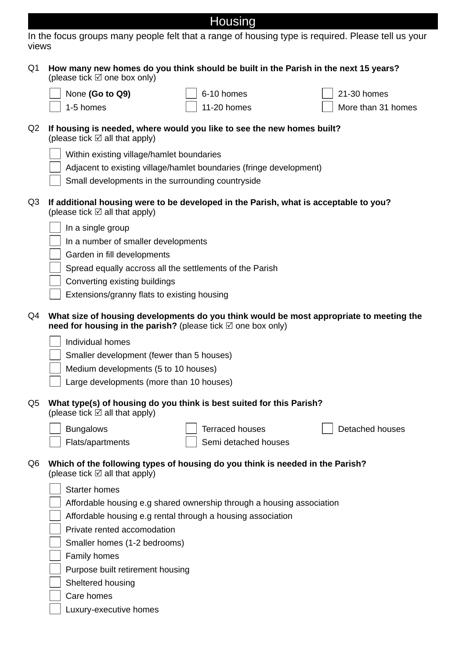| $\blacksquare$ | ousind |  |
|----------------|--------|--|
|                |        |  |

| <b>VIEWS</b> |                                                                                        |
|--------------|----------------------------------------------------------------------------------------|
|              | Q1 How many new homes do you think should be built in the Parish in the next 15 years? |

|    | (please tick ⊠ one box only)             |                                                                        |              |
|----|------------------------------------------|------------------------------------------------------------------------|--------------|
|    | $\vert$ None (Go to Q9)                  | $\vert$ 6-10 homes                                                     | 2            |
|    | $\sqrt{1}$ 1-5 homes                     | $\Box$ 11-20 homes                                                     | $\mathbf{I}$ |
| Q2 | (please tick $\boxtimes$ all that apply) | If housing is needed, where would you like to see the new homes built? |              |

Within existing village/hamlet boundaries Adjacent to existing village/hamlet boundaries (fringe development)

| Small developments in the surrounding countryside |
|---------------------------------------------------|
|---------------------------------------------------|

Q3 **If additional housing were to be developed in the Parish, what is acceptable to you?** (please tick  $\boxtimes$  all that apply)

|  |  |  |  | $\vert$ In a single group |
|--|--|--|--|---------------------------|
|--|--|--|--|---------------------------|

In a number of smaller developments

Garden in fill developments

Spread equally accross all the settlements of the Parish

Converting existing buildings

Extensions/granny flats to existing housing

- Q4 **What size of housing developments do you think would be most appropriate to meeting the need for housing in the parish?** (please tick  $\mathbb Z$  one box only)
	- Individual homes

Smaller development (fewer than 5 houses)

Medium developments (5 to 10 houses)

Large developments (more than 10 houses)

Q5 **What type(s) of housing do you think is best suited for this Parish?**  (please tick  $\boxtimes$  all that apply)

Bungalows Flats/apartments Terraced houses

Semi detached houses

Detached houses

21-30 homes

More than 31 homes

| $Q6$ Which of the following types of housing do you think is needed in the Parish? |
|------------------------------------------------------------------------------------|
| (please tick $\boxtimes$ all that apply)                                           |

| <b>Starter homes</b>                                                  |
|-----------------------------------------------------------------------|
| Affordable housing e.g shared ownership through a housing association |
| Affordable housing e.g rental through a housing association           |
| Private rented accomodation                                           |
| Smaller homes (1-2 bedrooms)                                          |
| <b>Family homes</b>                                                   |
| Purpose built retirement housing                                      |
| Sheltered housing                                                     |
| Care homes                                                            |
| Luxury-executive homes                                                |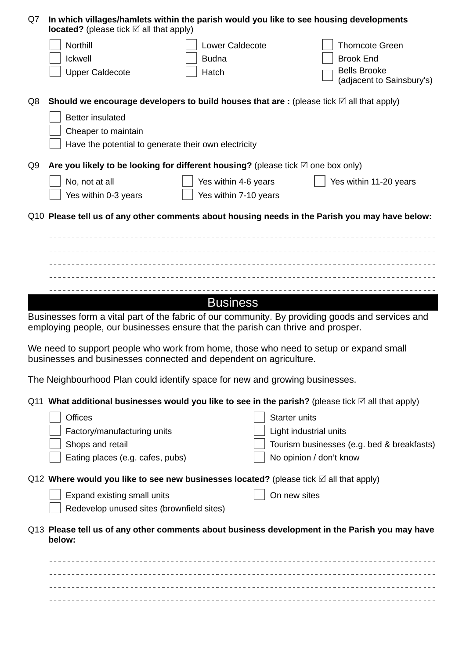| Q7 | In which villages/hamlets within the parish would you like to see housing developments<br><b>located?</b> (please tick $\boxtimes$ all that apply)                                  |                       |                        |                                            |
|----|-------------------------------------------------------------------------------------------------------------------------------------------------------------------------------------|-----------------------|------------------------|--------------------------------------------|
|    | Northill                                                                                                                                                                            | Lower Caldecote       |                        | <b>Thorncote Green</b>                     |
|    | Ickwell                                                                                                                                                                             | <b>Budna</b>          |                        | <b>Brook End</b>                           |
|    | <b>Upper Caldecote</b>                                                                                                                                                              | Hatch                 |                        | <b>Bells Brooke</b>                        |
|    |                                                                                                                                                                                     |                       |                        | (adjacent to Sainsbury's)                  |
| Q8 | Should we encourage developers to build houses that are : (please tick $\boxtimes$ all that apply)                                                                                  |                       |                        |                                            |
|    | <b>Better insulated</b>                                                                                                                                                             |                       |                        |                                            |
|    | Cheaper to maintain                                                                                                                                                                 |                       |                        |                                            |
|    | Have the potential to generate their own electricity                                                                                                                                |                       |                        |                                            |
| Q9 | Are you likely to be looking for different housing? (please tick $\boxtimes$ one box only)                                                                                          |                       |                        |                                            |
|    | No, not at all                                                                                                                                                                      | Yes within 4-6 years  |                        | Yes within 11-20 years                     |
|    | Yes within 0-3 years                                                                                                                                                                | Yes within 7-10 years |                        |                                            |
|    | Q10 Please tell us of any other comments about housing needs in the Parish you may have below:                                                                                      |                       |                        |                                            |
|    |                                                                                                                                                                                     |                       |                        |                                            |
|    |                                                                                                                                                                                     |                       |                        |                                            |
|    |                                                                                                                                                                                     |                       |                        |                                            |
|    |                                                                                                                                                                                     |                       |                        |                                            |
|    |                                                                                                                                                                                     | <b>Business</b>       |                        |                                            |
|    | Businesses form a vital part of the fabric of our community. By providing goods and services and<br>employing people, our businesses ensure that the parish can thrive and prosper. |                       |                        |                                            |
|    | We need to support people who work from home, those who need to setup or expand small<br>businesses and businesses connected and dependent on agriculture.                          |                       |                        |                                            |
|    | The Neighbourhood Plan could identify space for new and growing businesses.                                                                                                         |                       |                        |                                            |
|    | Q11 What additional businesses would you like to see in the parish? (please tick $\boxtimes$ all that apply)                                                                        |                       |                        |                                            |
|    | <b>Offices</b>                                                                                                                                                                      |                       | <b>Starter units</b>   |                                            |
|    | Factory/manufacturing units                                                                                                                                                         |                       | Light industrial units |                                            |
|    | Shops and retail                                                                                                                                                                    |                       |                        | Tourism businesses (e.g. bed & breakfasts) |
|    | Eating places (e.g. cafes, pubs)                                                                                                                                                    |                       |                        | No opinion / don't know                    |
|    | Q12 Where would you like to see new businesses located? (please tick $\boxtimes$ all that apply)                                                                                    |                       |                        |                                            |
|    | Expand existing small units                                                                                                                                                         |                       | On new sites           |                                            |
|    | Redevelop unused sites (brownfield sites)                                                                                                                                           |                       |                        |                                            |
|    | Q13 Please tell us of any other comments about business development in the Parish you may have<br>below:                                                                            |                       |                        |                                            |
|    |                                                                                                                                                                                     |                       |                        |                                            |
|    |                                                                                                                                                                                     |                       |                        |                                            |
|    |                                                                                                                                                                                     |                       |                        |                                            |
|    |                                                                                                                                                                                     |                       |                        |                                            |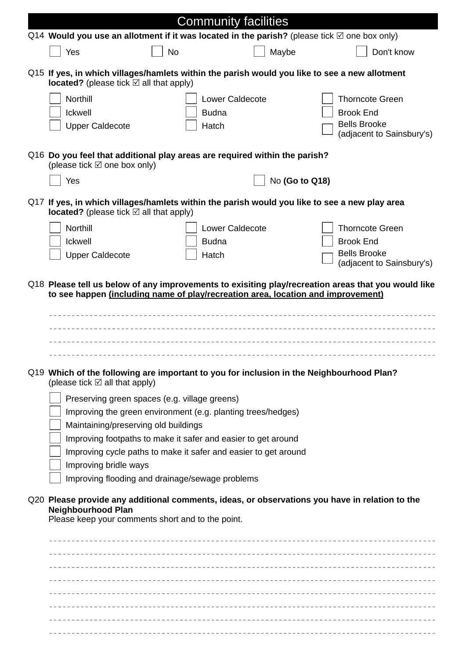|                                                                                                                                                           |              | <b>Community facilities</b>                                     |                                                                                                |
|-----------------------------------------------------------------------------------------------------------------------------------------------------------|--------------|-----------------------------------------------------------------|------------------------------------------------------------------------------------------------|
| Q14 Would you use an allotment if it was located in the parish? (please tick $\boxtimes$ one box only)                                                    |              |                                                                 |                                                                                                |
| Yes                                                                                                                                                       | <b>No</b>    | Maybe                                                           | Don't know                                                                                     |
| Q15 If yes, in which villages/hamlets within the parish would you like to see a new allotment<br><b>located?</b> (please tick $\boxtimes$ all that apply) |              |                                                                 |                                                                                                |
| <b>Northill</b>                                                                                                                                           |              | <b>Lower Caldecote</b>                                          | <b>Thorncote Green</b>                                                                         |
| <b>Ickwell</b>                                                                                                                                            | <b>Budna</b> |                                                                 | <b>Brook End</b>                                                                               |
| <b>Upper Caldecote</b>                                                                                                                                    | Hatch        |                                                                 | <b>Bells Brooke</b><br>(adjacent to Sainsbury's)                                               |
| Q16 Do you feel that additional play areas are required within the parish?<br>(please tick $\boxtimes$ one box only)                                      |              |                                                                 |                                                                                                |
| Yes                                                                                                                                                       |              | No (Go to Q18)                                                  |                                                                                                |
| Q17 If yes, in which villages/hamlets within the parish would you like to see a new play area<br><b>located?</b> (please tick $\boxtimes$ all that apply) |              |                                                                 |                                                                                                |
| <b>Northill</b>                                                                                                                                           |              | <b>Lower Caldecote</b>                                          | <b>Thorncote Green</b>                                                                         |
| <b>Ickwell</b>                                                                                                                                            | <b>Budna</b> |                                                                 | <b>Brook End</b>                                                                               |
| <b>Upper Caldecote</b>                                                                                                                                    | Hatch        |                                                                 | <b>Bells Brooke</b><br>(adjacent to Sainsbury's)                                               |
| to see happen (including name of play/recreation area, location and improvement)                                                                          |              |                                                                 |                                                                                                |
| Q19 Which of the following are important to you for inclusion in the Neighbourhood Plan?<br>(please tick $\boxtimes$ all that apply)                      |              |                                                                 |                                                                                                |
| Preserving green spaces (e.g. village greens)                                                                                                             |              |                                                                 |                                                                                                |
|                                                                                                                                                           |              | Improving the green environment (e.g. planting trees/hedges)    |                                                                                                |
| Maintaining/preserving old buildings                                                                                                                      |              |                                                                 |                                                                                                |
|                                                                                                                                                           |              | Improving footpaths to make it safer and easier to get around   |                                                                                                |
|                                                                                                                                                           |              | Improving cycle paths to make it safer and easier to get around |                                                                                                |
| Improving bridle ways                                                                                                                                     |              |                                                                 |                                                                                                |
| Improving flooding and drainage/sewage problems                                                                                                           |              |                                                                 |                                                                                                |
| <b>Neighbourhood Plan</b><br>Please keep your comments short and to the point.                                                                            |              |                                                                 | Q20 Please provide any additional comments, ideas, or observations you have in relation to the |
|                                                                                                                                                           |              |                                                                 |                                                                                                |
|                                                                                                                                                           |              |                                                                 |                                                                                                |
|                                                                                                                                                           |              |                                                                 |                                                                                                |
|                                                                                                                                                           |              |                                                                 |                                                                                                |
|                                                                                                                                                           |              |                                                                 |                                                                                                |
|                                                                                                                                                           |              |                                                                 |                                                                                                |